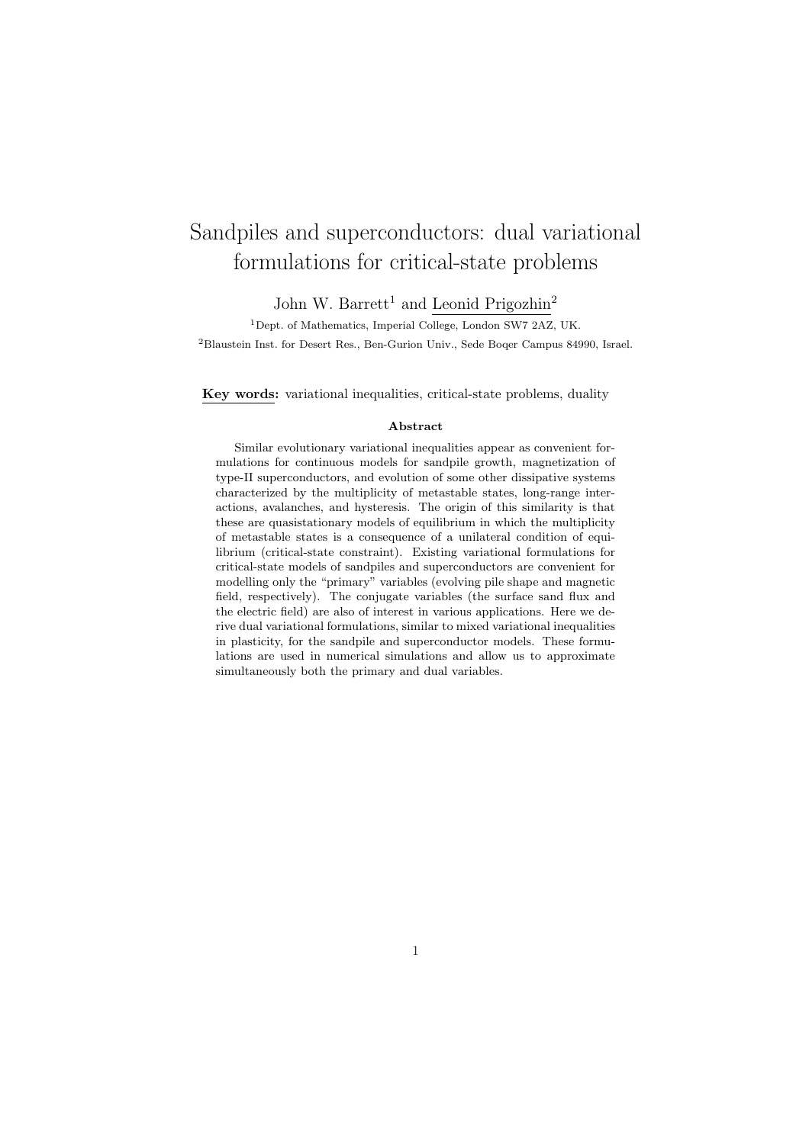## Sandpiles and superconductors: dual variational formulations for critical-state problems

John W. Barrett<sup>1</sup> and Leonid Prigozhin<sup>2</sup>

<sup>1</sup>Dept. of Mathematics, Imperial College, London SW7 2AZ, UK. <sup>2</sup>Blaustein Inst. for Desert Res., Ben-Gurion Univ., Sede Boqer Campus 84990, Israel.

Key words: variational inequalities, critical-state problems, duality

## Abstract

Similar evolutionary variational inequalities appear as convenient formulations for continuous models for sandpile growth, magnetization of type-II superconductors, and evolution of some other dissipative systems characterized by the multiplicity of metastable states, long-range interactions, avalanches, and hysteresis. The origin of this similarity is that these are quasistationary models of equilibrium in which the multiplicity of metastable states is a consequence of a unilateral condition of equilibrium (critical-state constraint). Existing variational formulations for critical-state models of sandpiles and superconductors are convenient for modelling only the "primary" variables (evolving pile shape and magnetic field, respectively). The conjugate variables (the surface sand flux and the electric field) are also of interest in various applications. Here we derive dual variational formulations, similar to mixed variational inequalities in plasticity, for the sandpile and superconductor models. These formulations are used in numerical simulations and allow us to approximate simultaneously both the primary and dual variables.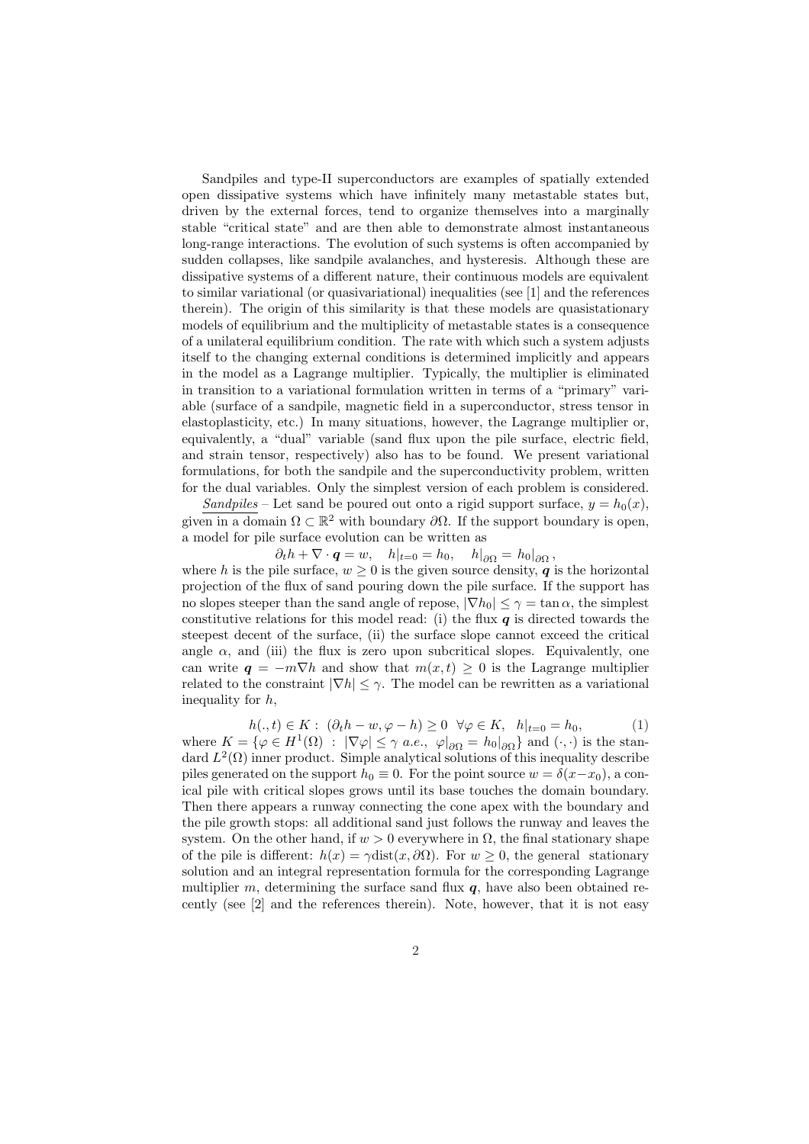Sandpiles and type-II superconductors are examples of spatially extended open dissipative systems which have infinitely many metastable states but, driven by the external forces, tend to organize themselves into a marginally stable "critical state" and are then able to demonstrate almost instantaneous long-range interactions. The evolution of such systems is often accompanied by sudden collapses, like sandpile avalanches, and hysteresis. Although these are dissipative systems of a different nature, their continuous models are equivalent to similar variational (or quasivariational) inequalities (see [1] and the references therein). The origin of this similarity is that these models are quasistationary models of equilibrium and the multiplicity of metastable states is a consequence of a unilateral equilibrium condition. The rate with which such a system adjusts itself to the changing external conditions is determined implicitly and appears in the model as a Lagrange multiplier. Typically, the multiplier is eliminated in transition to a variational formulation written in terms of a "primary" variable (surface of a sandpile, magnetic field in a superconductor, stress tensor in elastoplasticity, etc.) In many situations, however, the Lagrange multiplier or, equivalently, a "dual" variable (sand flux upon the pile surface, electric field, and strain tensor, respectively) also has to be found. We present variational formulations, for both the sandpile and the superconductivity problem, written for the dual variables. Only the simplest version of each problem is considered.

Sandpiles – Let sand be poured out onto a rigid support surface,  $y = h_0(x)$ , given in a domain  $\Omega \subset \mathbb{R}^2$  with boundary  $\partial \Omega$ . If the support boundary is open, a model for pile surface evolution can be written as

 $\partial_t h + \nabla \cdot \boldsymbol{q} = w, \quad h|_{t=0} = h_0, \quad h|_{\partial \Omega} = h_0|_{\partial \Omega},$ 

where h is the pile surface,  $w \geq 0$  is the given source density, q is the horizontal projection of the flux of sand pouring down the pile surface. If the support has no slopes steeper than the sand angle of repose,  $|\nabla h_0| \le \gamma = \tan \alpha$ , the simplest constitutive relations for this model read: (i) the flux  $q$  is directed towards the steepest decent of the surface, (ii) the surface slope cannot exceed the critical angle  $\alpha$ , and (iii) the flux is zero upon subcritical slopes. Equivalently, one can write  $q = -m\nabla h$  and show that  $m(x, t) \geq 0$  is the Lagrange multiplier related to the constraint  $|\nabla h| \leq \gamma$ . The model can be rewritten as a variational inequality for h,

 $h(., t) \in K: (\partial_t h - w, \varphi - h) \geq 0 \quad \forall \varphi \in K, \quad h|_{t=0} = h_0,$  (1) where  $K = \{ \varphi \in H^1(\Omega) : |\nabla \varphi| \leq \gamma \text{ a.e., } \varphi|_{\partial \Omega} = h_0|_{\partial \Omega} \}$  and  $(\cdot, \cdot)$  is the stan- $\text{dard } L^2(\Omega)$  inner product. Simple analytical solutions of this inequality describe piles generated on the support  $h_0 \equiv 0$ . For the point source  $w = \delta(x-x_0)$ , a conical pile with critical slopes grows until its base touches the domain boundary. Then there appears a runway connecting the cone apex with the boundary and the pile growth stops: all additional sand just follows the runway and leaves the system. On the other hand, if  $w > 0$  everywhere in  $\Omega$ , the final stationary shape of the pile is different:  $h(x) = \gamma \text{dist}(x, \partial \Omega)$ . For  $w \geq 0$ , the general stationary solution and an integral representation formula for the corresponding Lagrange multiplier m, determining the surface sand flux  $q$ , have also been obtained recently (see [2] and the references therein). Note, however, that it is not easy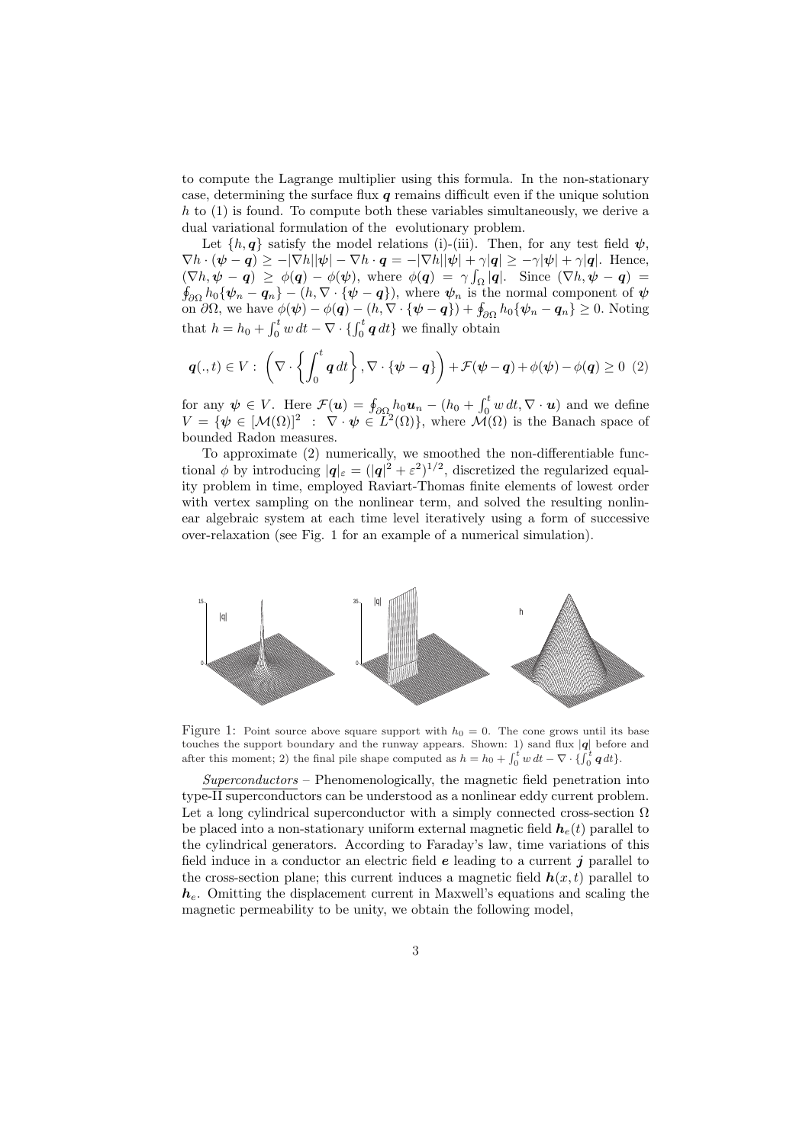to compute the Lagrange multiplier using this formula. In the non-stationary case, determining the surface flux  $q$  remains difficult even if the unique solution h to (1) is found. To compute both these variables simultaneously, we derive a dual variational formulation of the evolutionary problem.

Let  $\{h, q\}$  satisfy the model relations (i)-(iii). Then, for any test field  $\psi$ ,  $\nabla h \cdot (\boldsymbol{\psi} - \boldsymbol{q}) \ge -|\nabla h| |\boldsymbol{\psi}| - \nabla h \cdot \boldsymbol{q} = -|\nabla h| |\boldsymbol{\psi}| + \gamma |\boldsymbol{q}| \ge -\gamma |\boldsymbol{\psi}| + \gamma |\boldsymbol{q}|.$  Hence,  $(\nabla h, \psi - \boldsymbol{q}) \geq \phi(\boldsymbol{q}) - \phi(\boldsymbol{\psi}),$  where  $\phi(\boldsymbol{q}) = \gamma$ R  $(\nabla h, \psi - q) \geq \phi(q) - \phi(\psi)$ , where  $\phi(q) = \gamma \int_{\Omega} |q|$ . Since  $(\nabla h, \psi - q)$  $\oint_{\partial\Omega} h_0 \{\psi_n - \mathbf{q}_n\} - (h, \nabla \cdot \{\boldsymbol{\psi} - \mathbf{q}\}),$  where  $\psi_n$  is the normal component of  $\boldsymbol{\psi}$  on  $\partial\Omega$ , we have  $\phi(\boldsymbol{\psi}) - \phi(\mathbf{q}) - (h, \nabla \cdot \{\boldsymbol{\psi} - \mathbf{q}\}) + \oint_{\partial\Omega} h_0 \{\psi_n - \mathbf{q}_n\} \geq 0$ . Noting that  $h = h_0 + \int_0^t w dt - \nabla \cdot \{ \int_0^t q dt \}$  we finally obtain

$$
\boldsymbol{q}(.,t) \in V : \left(\nabla \cdot \left\{\int_0^t \boldsymbol{q} \, dt\right\}, \nabla \cdot \{\boldsymbol{\psi} - \boldsymbol{q}\}\right) + \mathcal{F}(\boldsymbol{\psi} - \boldsymbol{q}) + \phi(\boldsymbol{\psi}) - \phi(\boldsymbol{q}) \ge 0 \tag{2}
$$

for any  $\psi \in V$ . Here  $\mathcal{F}(u) = \oint_{\partial \Omega} h_0 u_n - (h_0 + \int_0^t$  $\int_0^t w dt, \nabla \cdot \mathbf{u}$  and we define  $V = \{ \psi \in [\mathcal{M}(\Omega)]^2 : \nabla \cdot \psi \in L^2(\Omega) \},\$  where  $\mathcal{M}(\Omega)$  is the Banach space of bounded Radon measures.

To approximate (2) numerically, we smoothed the non-differentiable functional  $\phi$  by introducing  $|\mathbf{q}|_{\varepsilon} = (|\mathbf{q}|^2 + \varepsilon^2)^{1/2}$ , discretized the regularized equality problem in time, employed Raviart-Thomas finite elements of lowest order with vertex sampling on the nonlinear term, and solved the resulting nonlinear algebraic system at each time level iteratively using a form of successive over-relaxation (see Fig. 1 for an example of a numerical simulation).



Figure 1: Point source above square support with  $h_0 = 0$ . The cone grows until its base touches the support boundary and the runway appears. Shown: 1) sand flux  $|q|$  before and bouches the support boundary and the runway appears. Shown: 1) sand hux  $|q|$  before after this moment; 2) the final pile shape computed as  $h = h_0 + \int_0^t w dt - \nabla \cdot \{ \int_0^t q dt \}$ .

Superconductors – Phenomenologically, the magnetic field penetration into type-II superconductors can be understood as a nonlinear eddy current problem. Let a long cylindrical superconductor with a simply connected cross-section  $\Omega$ be placed into a non-stationary uniform external magnetic field  $h_e(t)$  parallel to the cylindrical generators. According to Faraday's law, time variations of this field induce in a conductor an electric field  $e$  leading to a current  $j$  parallel to the cross-section plane; this current induces a magnetic field  $h(x, t)$  parallel to  $h_e$ . Omitting the displacement current in Maxwell's equations and scaling the magnetic permeability to be unity, we obtain the following model,